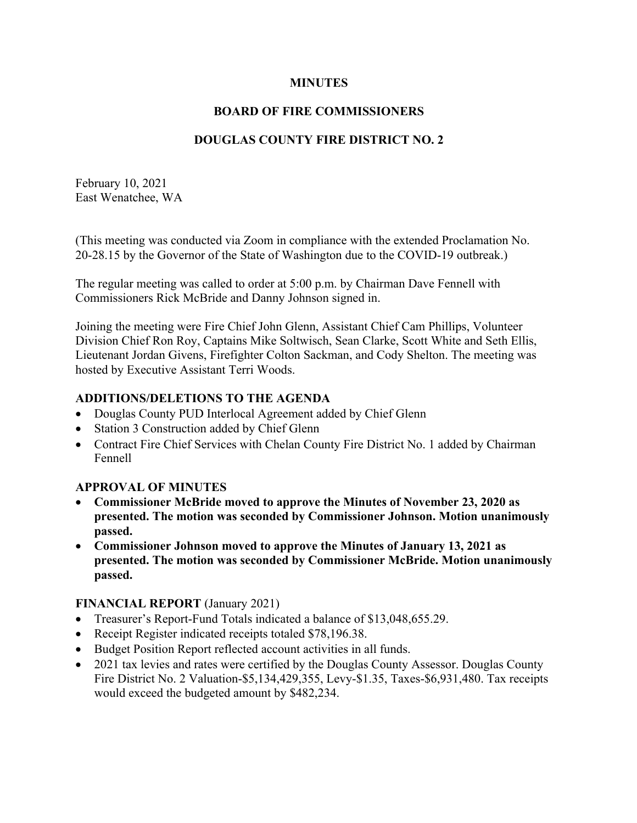## **MINUTES**

## **BOARD OF FIRE COMMISSIONERS**

## **DOUGLAS COUNTY FIRE DISTRICT NO. 2**

February 10, 2021 East Wenatchee, WA

(This meeting was conducted via Zoom in compliance with the extended Proclamation No. 20-28.15 by the Governor of the State of Washington due to the COVID-19 outbreak.)

The regular meeting was called to order at 5:00 p.m. by Chairman Dave Fennell with Commissioners Rick McBride and Danny Johnson signed in.

Joining the meeting were Fire Chief John Glenn, Assistant Chief Cam Phillips, Volunteer Division Chief Ron Roy, Captains Mike Soltwisch, Sean Clarke, Scott White and Seth Ellis, Lieutenant Jordan Givens, Firefighter Colton Sackman, and Cody Shelton. The meeting was hosted by Executive Assistant Terri Woods.

## **ADDITIONS/DELETIONS TO THE AGENDA**

- Douglas County PUD Interlocal Agreement added by Chief Glenn
- Station 3 Construction added by Chief Glenn
- Contract Fire Chief Services with Chelan County Fire District No. 1 added by Chairman Fennell

## **APPROVAL OF MINUTES**

- **Commissioner McBride moved to approve the Minutes of November 23, 2020 as presented. The motion was seconded by Commissioner Johnson. Motion unanimously passed.**
- **Commissioner Johnson moved to approve the Minutes of January 13, 2021 as presented. The motion was seconded by Commissioner McBride. Motion unanimously passed.**

#### **FINANCIAL REPORT** (January 2021)

- Treasurer's Report-Fund Totals indicated a balance of \$13,048,655.29.
- Receipt Register indicated receipts totaled \$78,196.38.
- Budget Position Report reflected account activities in all funds.
- 2021 tax levies and rates were certified by the Douglas County Assessor. Douglas County Fire District No. 2 Valuation-\$5,134,429,355, Levy-\$1.35, Taxes-\$6,931,480. Tax receipts would exceed the budgeted amount by \$482,234.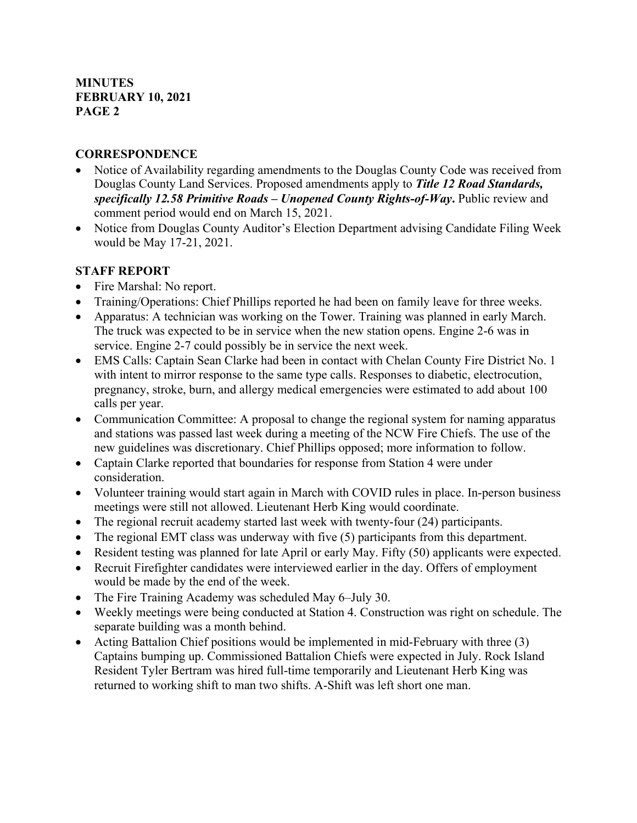## **CORRESPONDENCE**

- Notice of Availability regarding amendments to the Douglas County Code was received from Douglas County Land Services. Proposed amendments apply to *Title 12 Road Standards, specifically 12.58 Primitive Roads – Unopened County Rights-of-Way***.** Public review and comment period would end on March 15, 2021.
- Notice from Douglas County Auditor's Election Department advising Candidate Filing Week would be May 17-21, 2021.

# **STAFF REPORT**

- Fire Marshal: No report.
- Training/Operations: Chief Phillips reported he had been on family leave for three weeks.
- Apparatus: A technician was working on the Tower. Training was planned in early March. The truck was expected to be in service when the new station opens. Engine 2-6 was in service. Engine 2-7 could possibly be in service the next week.
- EMS Calls: Captain Sean Clarke had been in contact with Chelan County Fire District No. 1 with intent to mirror response to the same type calls. Responses to diabetic, electrocution, pregnancy, stroke, burn, and allergy medical emergencies were estimated to add about 100 calls per year.
- Communication Committee: A proposal to change the regional system for naming apparatus and stations was passed last week during a meeting of the NCW Fire Chiefs. The use of the new guidelines was discretionary. Chief Phillips opposed; more information to follow.
- Captain Clarke reported that boundaries for response from Station 4 were under consideration.
- Volunteer training would start again in March with COVID rules in place. In-person business meetings were still not allowed. Lieutenant Herb King would coordinate.
- The regional recruit academy started last week with twenty-four (24) participants.
- The regional EMT class was underway with five (5) participants from this department.
- Resident testing was planned for late April or early May. Fifty (50) applicants were expected.
- Recruit Firefighter candidates were interviewed earlier in the day. Offers of employment would be made by the end of the week.
- The Fire Training Academy was scheduled May 6–July 30.
- Weekly meetings were being conducted at Station 4. Construction was right on schedule. The separate building was a month behind.
- Acting Battalion Chief positions would be implemented in mid-February with three (3) Captains bumping up. Commissioned Battalion Chiefs were expected in July. Rock Island Resident Tyler Bertram was hired full-time temporarily and Lieutenant Herb King was returned to working shift to man two shifts. A-Shift was left short one man.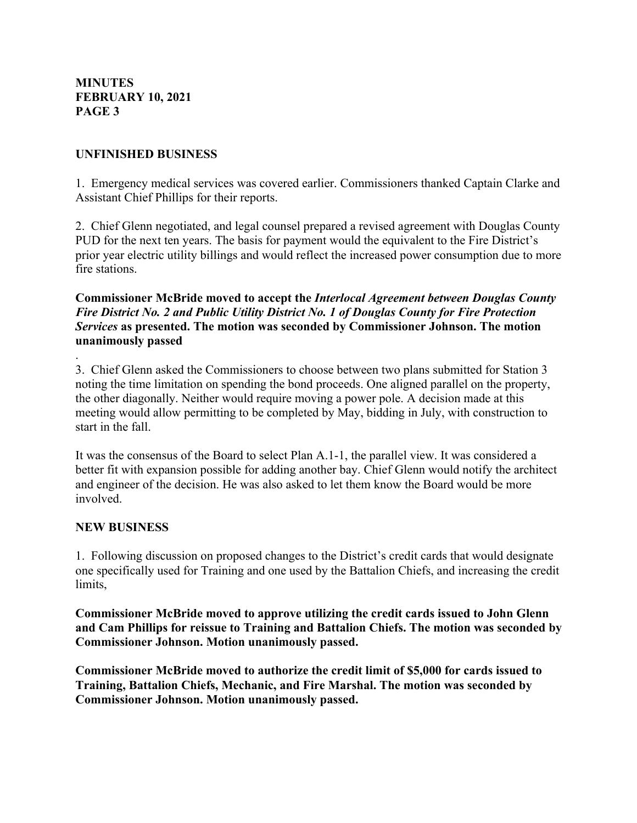### **UNFINISHED BUSINESS**

1. Emergency medical services was covered earlier. Commissioners thanked Captain Clarke and Assistant Chief Phillips for their reports.

2. Chief Glenn negotiated, and legal counsel prepared a revised agreement with Douglas County PUD for the next ten years. The basis for payment would the equivalent to the Fire District's prior year electric utility billings and would reflect the increased power consumption due to more fire stations.

## **Commissioner McBride moved to accept the** *Interlocal Agreement between Douglas County Fire District No. 2 and Public Utility District No. 1 of Douglas County for Fire Protection Services* **as presented. The motion was seconded by Commissioner Johnson. The motion unanimously passed**

3. Chief Glenn asked the Commissioners to choose between two plans submitted for Station 3 noting the time limitation on spending the bond proceeds. One aligned parallel on the property, the other diagonally. Neither would require moving a power pole. A decision made at this meeting would allow permitting to be completed by May, bidding in July, with construction to start in the fall.

It was the consensus of the Board to select Plan A.1-1, the parallel view. It was considered a better fit with expansion possible for adding another bay. Chief Glenn would notify the architect and engineer of the decision. He was also asked to let them know the Board would be more involved.

#### **NEW BUSINESS**

.

1. Following discussion on proposed changes to the District's credit cards that would designate one specifically used for Training and one used by the Battalion Chiefs, and increasing the credit limits,

**Commissioner McBride moved to approve utilizing the credit cards issued to John Glenn and Cam Phillips for reissue to Training and Battalion Chiefs. The motion was seconded by Commissioner Johnson. Motion unanimously passed.**

**Commissioner McBride moved to authorize the credit limit of \$5,000 for cards issued to Training, Battalion Chiefs, Mechanic, and Fire Marshal. The motion was seconded by Commissioner Johnson. Motion unanimously passed.**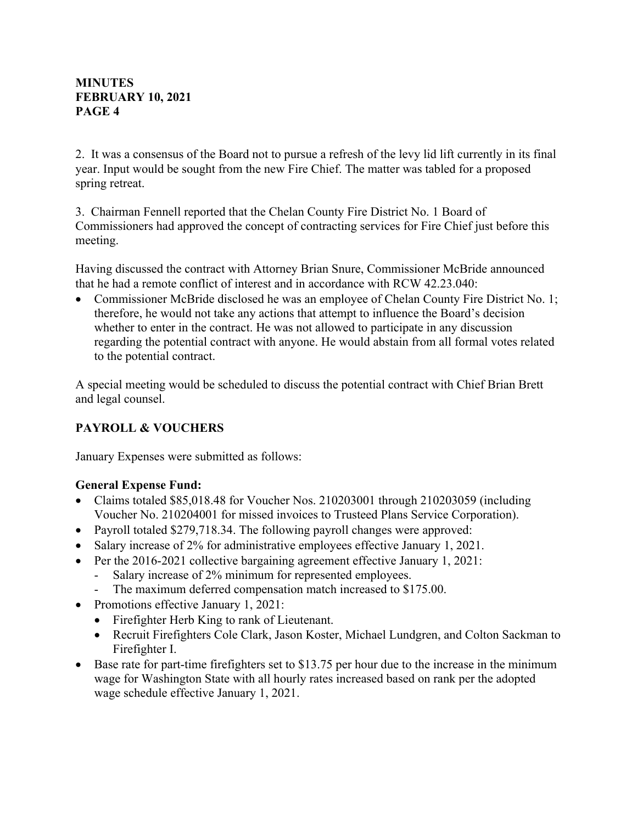2. It was a consensus of the Board not to pursue a refresh of the levy lid lift currently in its final year. Input would be sought from the new Fire Chief. The matter was tabled for a proposed spring retreat.

3. Chairman Fennell reported that the Chelan County Fire District No. 1 Board of Commissioners had approved the concept of contracting services for Fire Chief just before this meeting.

Having discussed the contract with Attorney Brian Snure, Commissioner McBride announced that he had a remote conflict of interest and in accordance with RCW 42.23.040:

• Commissioner McBride disclosed he was an employee of Chelan County Fire District No. 1; therefore, he would not take any actions that attempt to influence the Board's decision whether to enter in the contract. He was not allowed to participate in any discussion regarding the potential contract with anyone. He would abstain from all formal votes related to the potential contract.

A special meeting would be scheduled to discuss the potential contract with Chief Brian Brett and legal counsel.

# **PAYROLL & VOUCHERS**

January Expenses were submitted as follows:

# **General Expense Fund:**

- Claims totaled \$85,018.48 for Voucher Nos. 210203001 through 210203059 (including Voucher No. 210204001 for missed invoices to Trusteed Plans Service Corporation).
- Payroll totaled \$279,718.34. The following payroll changes were approved:
- Salary increase of 2% for administrative employees effective January 1, 2021.
- Per the 2016-2021 collective bargaining agreement effective January 1, 2021:
	- Salary increase of 2% minimum for represented employees.
	- The maximum deferred compensation match increased to \$175.00.
- Promotions effective January 1, 2021:
	- Firefighter Herb King to rank of Lieutenant.
	- Recruit Firefighters Cole Clark, Jason Koster, Michael Lundgren, and Colton Sackman to Firefighter I.
- Base rate for part-time firefighters set to \$13.75 per hour due to the increase in the minimum wage for Washington State with all hourly rates increased based on rank per the adopted wage schedule effective January 1, 2021.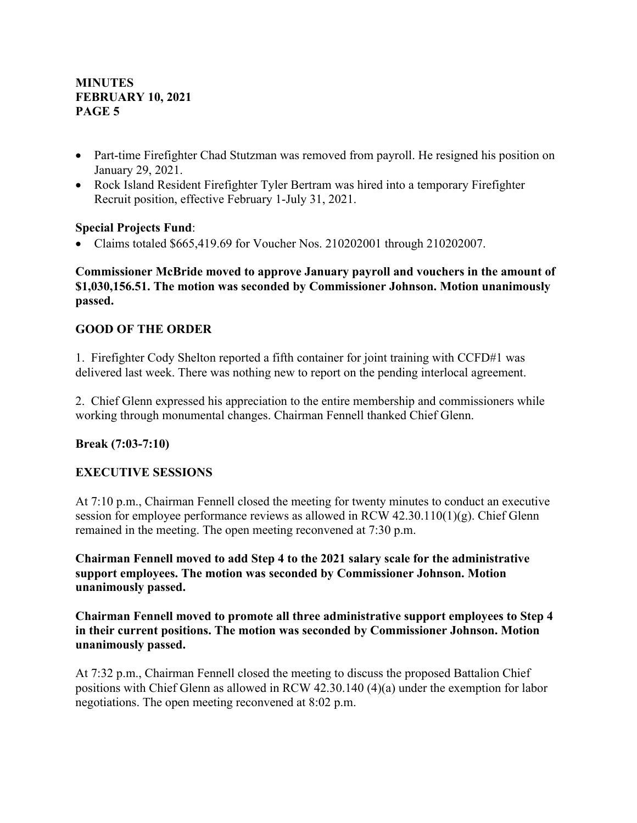- Part-time Firefighter Chad Stutzman was removed from payroll. He resigned his position on January 29, 2021.
- Rock Island Resident Firefighter Tyler Bertram was hired into a temporary Firefighter Recruit position, effective February 1-July 31, 2021.

## **Special Projects Fund**:

• Claims totaled \$665,419.69 for Voucher Nos. 210202001 through 210202007.

## **Commissioner McBride moved to approve January payroll and vouchers in the amount of \$1,030,156.51. The motion was seconded by Commissioner Johnson. Motion unanimously passed.**

# **GOOD OF THE ORDER**

1. Firefighter Cody Shelton reported a fifth container for joint training with CCFD#1 was delivered last week. There was nothing new to report on the pending interlocal agreement.

2. Chief Glenn expressed his appreciation to the entire membership and commissioners while working through monumental changes. Chairman Fennell thanked Chief Glenn.

## **Break (7:03-7:10)**

## **EXECUTIVE SESSIONS**

At 7:10 p.m., Chairman Fennell closed the meeting for twenty minutes to conduct an executive session for employee performance reviews as allowed in RCW  $42.30.110(1)(g)$ . Chief Glenn remained in the meeting. The open meeting reconvened at 7:30 p.m.

**Chairman Fennell moved to add Step 4 to the 2021 salary scale for the administrative support employees. The motion was seconded by Commissioner Johnson. Motion unanimously passed.**

**Chairman Fennell moved to promote all three administrative support employees to Step 4 in their current positions. The motion was seconded by Commissioner Johnson. Motion unanimously passed.**

At 7:32 p.m., Chairman Fennell closed the meeting to discuss the proposed Battalion Chief positions with Chief Glenn as allowed in RCW 42.30.140 (4)(a) under the exemption for labor negotiations. The open meeting reconvened at 8:02 p.m.